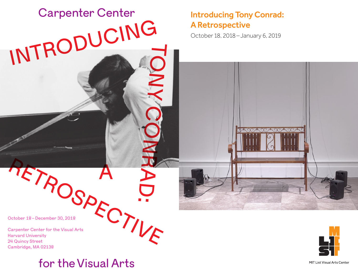# Introducing Tony Conrad: A Retrospective

October 18, 2018– January 6, 2019

October 18–December 30, 2018

Carpenter Center for the Visual Arts Harvard University 24 Quincy Street Cambridge, MA 02138 PETROSPECTIVE SCREEN OF THE Visual Arts



A

Carpenter Center

INTRODUCING

TONY CONRAD

:

MIT List Visual Arts Center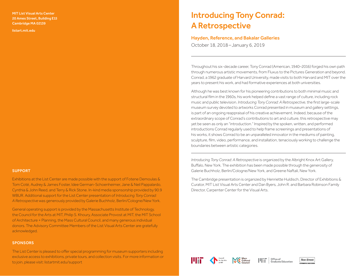MIT List Visual Arts Center 20 Ames Street, Building E15 Cambridge MA 02139

<listart.mit.edu>

#### SUPPORT

Exhibitions at the List Center are made possible with the support of Fotene Demoulas & Tom Coté, Audrey & James Foster, Idee German-Schoenheimer, Jane & Neil Pappalardo, Cynthia & John Reed, and Terry & Rick Stone. In-kind media sponsorship provided by 90.9 WBUR. Additional support for the List Center presentation of *Introducing Tony Conrad: A Retrospective* was generously provided by Galerie Buchholz, Berlin/Cologne/New York.

General operating support is provided by the Massachusetts Institute of Technology, the Council for the Arts at MIT, Philip S. Khoury, Associate Provost at MIT, the MIT School of Architecture + Planning, the Mass Cultural Council, and many generous individual donors. The Advisory Committee Members of the List Visual Arts Center are gratefully acknowledged.

#### **SPONSORS**

The List Center is pleased to offer special programming for museum supporters including exclusive access to exhibitions, private tours, and collection visits. For more information or to join, please visit: listartmit.edu/support

# Introducing Tony Conrad: A Retrospective

#### Hayden, Reference, and Bakalar Galleries

October 18, 2018–January 6, 2019

-------------------------------------------

Throughout his six-decade career, Tony Conrad (American, 1940–2016) forged his own path through numerous artistic movements, from Fluxus to the Pictures Generation and beyond. Conrad, a 1962 graduate of Harvard University, made visits to both Harvard and MIT over the years to present his work, and had formative experiences at both universities.

Although he was best known for his pioneering contributions to both minimal music and structural film in the 1960s, his work helped define a vast range of culture, including rock music and public television. *Introducing Tony Conrad: A Retrospective*, the first large-scale museum survey devoted to artworks Conrad presented in museum and gallery settings, is part of an ongoing reappraisal of his creative achievement. Indeed, because of the extraordinary scope of Conrad's contributions to art and culture, this retrospective may yet be seen as only an "introduction." Inspired by the spoken, written, and performed introductions Conrad regularly used to help frame screenings and presentations of his works, it shows Conrad to be an unparalleled innovator in the mediums of painting, sculpture, film, video, performance, and installation, tenaciously working to challenge the boundaries between artistic categories.

*Introducing Tony Conrad: A Retrospective* is organized by the Albright Knox Art Gallery, Buffalo, New York. The exhibition has been made possible through the generosity of Galerie Buchholz, Berlin/Cologne/New York, and Greene Naftali, New York.

The Cambridge presentation is organized by Henriette Huldisch, Director of Exhibitions & Curator, MIT List Visual Arts Center and Dan Byers, John R. and Barbara Robinson Family Director, Carpenter Center for the Visual Arts.



-------------------------------------------



Mass<br>
MC Cultural

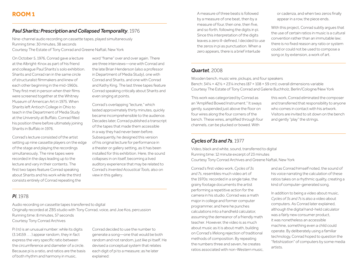#### *Paul Sharits: Prescription and Collapsed Temporality*, 1976

Nine-channel audio recording on cassette tapes, played simultaneously Running time: 30 minutes, 38 seconds Courtesy The Estate of Tony Conrad and Greene Naftali, New York

On October 5, 1976, Conrad gave a lecture at the Albright-Knox as part of his friend and colleague Paul Sharits's solo exhibition. Sharits and Conrad ran in the same circle of structuralist filmmakers and knew of each other beginning in the mid-1960s. They first met in person when their films were screened together at the Whitney Museum of American Art in 1975. When Sharits left Antioch College in Ohio to teach in the Department of Media Study at the University at Buffalo, Conrad filled his position there before ultimately joining Sharits in Buffalo in 1976.

Conrad's lecture consisted of the artist setting up nine cassette players on the edge of the stage and playing the recordings simultaneously. The nine tapes were recorded in the days leading up to the lecture and vary in their contents. The first two tapes feature Conrad speaking about Sharits and his work while the third consists entirely of Conrad repeating the

word "frame" over and over again. There are three interviews—one with Conrad and the late Brian Henderson (also a professor in Department of Media Study), one with Conrad and Sharits, and one with Conrad and Kathy King. The last three tapes feature Conrad speaking critically about Sharits and even singing at points.

Conrad's overlapping "lecture," which lasted approximately thirty minutes, quickly became incomprehensible to the audience. Decades later, Conrad published a transcript of the tapes that made them accessible in a way they had never been before. Subsequently, he designed this version of his original lecture for performance in a theater or gallery setting, as it has been installed for this exhibition. Here, the sound collapses in on itself, becoming a lived auditory experience that may be related to Conrad's *Invented Acoustical Tools,* also on view in this gallery.

*Pi*, 1978

Audio recording on cassette tapes transferred to digital Originally recorded at ZBS studio with Tony Conrad, voice, and Joe Kos, percussion Running time: 8 minutes, 57 seconds Courtesy Tony Conrad Archives

Pi  $(\pi)$  is an unusual number: while its digits (3.14159 . . . ) appear random, they in fact express the very specific ratio between the circumference and diameter of a circle. Because pi is a ratio, and ratios are the basis of both rhythm and harmony in music,

Conrad decided to use the number to generate a song—one that would be both random and not random, just like pi itself. He devised a conceptual system that relates each digit of pi to a measure; as he later explained:

A measure of three beats is followed by a measure of one beat, then by a measure of four, then one, then five, and so forth, following the digits in pi. Since this interpretation of the digits leaves a zero ill-defined, I decided to use the zeros in pi as punctuation. When a zero appears, there is a brief interlude

or cadenza, and when two zeros finally appear in a row, the piece ends.

With this project, Conrad subtly argues that the use of certain ratios in music is a cultural convention rather than an immutable law; there is no fixed reason any ratio or system could or could not be used to compose a song or, by extension, a work of art.

#### *Quartet*, 2008

Wooden bench, music wire, pickups, and four speakers Bench: 34¼ × 42½ × 23¼ inches (87 × 108 × 59 cm); overall dimensions variable Courtesy The Estate of Tony Conrad and Galerie Buchholz, Berlin/Cologne/New York

This work was categorized by Conrad as an "Amplified Bowed Instrument." It sways gently, suspended just above the floor on four wires along the four corners of the bench. These wires, amplified through four channels, can be plucked or bowed. With

this work, Conrad eliminated the composer and transferred that responsibility to anyone who comes in contact with his artwork. Visitors are invited to sit down on the bench and gently "play" the strings.

#### *Cycles of 3s and 7s*, 1977

Video, black and white, sound, transferred to digital Running time: 12 minute excerpt of 23 minutes Courtesy Tony Conrad Archives and Greene Naftali, New York

Conrad's first video work, *Cycles of 3s and 7s*, resembles much video art of the 1970s: recorded in a single take, the grainy footage documents the artist performing a repetitive action for the camera in his studio. Conrad was a math major in college and former computer programmer, and here he punches calculations into a handheld calculator, assuming the demeanor of a friendly math teacher. However, the video is as much about music as it is about math, building on Conrad's lifelong rejection of traditional methods of composition. By repeating the numbers three and seven, he creates ratios associated with non-Western music, and as Conrad himself noted, the sound of his voice narrating the calculation of these ratios takes on a rhythmic quality, creating a kind of computer-generated song.

In addition to being a video about music, *Cycles of 3s and 7s* is also a video about computers. As Conrad later explained, although the digital hand-held calculator was a fairly new consumer product, it was nonetheless an accessible machine, something even a child could operate. By deliberately using a familiar technology, Conrad hoped to question the "fetishization" of computers by some media artists.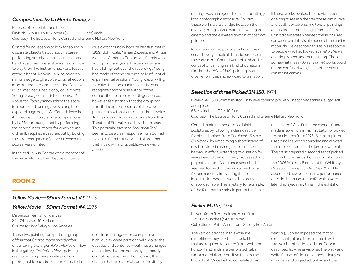#### *Compositions by La Monte Young*, 2000

Frames, offset prints, and tape Diptych: 12⅜ × 10¼ × ⅜ inches (31.5 × 26 × 1 cm) each Courtesy The Estate of Tony Conrad and Greene Naftali, New York

Conrad found reasons to look for sound in disparate objects throughout his career, perforating drumheads and canvases and bending a cheap metal stove shield in order to play them like instruments. For a festival at the Albright-Knox in 1976, he bowed a mirror's edge to give voice to its reflections in an outdoor performance called *Sunbow*. Much later, he turned a copy of La Monte Young's *Compositions* into an *Invented Acoustical Tool* by sandwiching the score in a frame and running a bow along the exposed page edges. As Conrad described it, "I decided to 'play' some compositions by La Monte Young—not by performing the scores' instructions, for which Young ordinarily requires a vast fee, but by bowing the stretched piece of paper on which the scores were printed."

In the mid-1960s Conrad was a member of the musical group the Theatre of Eternal

Music with Young (whom he had first met in 1959), John Cale, Marian Zazeela, and Angus MacLise. Although Conrad was friends with Young for many years, the two musicians had a falling-out over the recordings Young had made of those early, radically influential experimental sessions. Young was unwilling to make the tapes public unless he was recognized as the sole author of the compositions on the recordings. Conrad, however, felt strongly that the group had, from its inception, been a collaborative partnership without any one authorial voice. To this day, almost no recordings from the Theatre of Eternal Music have been heard. This particular *Invented Acoustical Tool* seems to be a clear response from Conrad to his old friend Young, a kind of argument that music will find its public—one way or another.

# **ROOM 2**

#### *Yellow Movie—35mm Format #3*, 1973

#### *Yellow Movie—35mm Format #4*, 1973

Dispersion varnish on canvas 24 × 24 inches (61 × 61 cm) Courtesy Marc Selwyn, Los Angeles

These two paintings are part of a group of four that Conrad made shortly after undertaking the larger *Yellow Movies* on view in this gallery. The *Yellow Movie* paintings are made using cheap white paint on photographic backdrop paper. All materials

used in art change—for example, even high-quality white paint can yellow over the decades and centuries—but these changes are so slow that the human eye generally cannot perceive them. For Conrad, the change that his materials would inevitably

undergo was analogous to an excruciatingly long photographic exposure. For him, these works were a bridge between the relatively marginalized world of avant-garde cinema and the elevated domain of abstract painters.

In some ways, this pair of small canvases served a very practical didactic purpose: in the early 1970s Conrad wanted to share his concept of painting as a kind of durational film, but the *Yellow Movie* paintings were often enormous and awkward to transport. If those works evoked the movie screen one might see in a theater, these diminutive and easily portable *35mm Format* paintings are scaled to a small single frame of film. Conrad deliberately painted these on used canvases and left visible traces of the earlier materials. He described this as his response to people who had looked at a *Yellow Movie*  and simply seen another painting. These somewhat messy *35mm Format* works could not be confused with just another pristine Minimalist canvas.

# *Selection of three Pickled 3M 150*, 1974

Pickled 3M 150 16mm film stock in twelve canning jars with vinegar, vegetables, sugar, salt, and spices

 $6\frac{3}{4}$  × 4 inches (17.2 × 10.2 cm) each

Courtesy The Estate of Tony Conrad and Greene Naftali, New York

Conrad made this series of celluloid sculptures by following a classic recipe for pickled onions from *The Fannie Farmer Cookbook*. By embalming a short strand of raw film stock in a vinegar-filled mason jar, he was, in effect, extending its duration for years beyond that of filmed, processed, and projected stock. As he once described, "It seemed to me that this was a mechanism for permanently implanting the film in a situation where it would be clearly unapproachable. The mystery, for example, of the fact that the middle part of the film is

never seen." As a first-time canner, Conrad made a few errors in his first batch of pickled film sculptures from 1973. For example, he used zinc lids, which corroded and allowed the liquid contents of the jars to evaporate. The artist prepared a second set of pickled film sculptures as part of his contribution to the 2006 Whitney Biennial at the Whitney Museum of American Art, New York. He assembled new versions in a performance outside the museum's café, which were later displayed in a vitrine in the exhibition.

#### *Flicker Matte*, 1974

Kalvar 16mm film stock and microfilm 21½ × 27¼ inches (54.5 × 69 cm) Collection of Philip Aarons and Shelley Fox Aarons

The vertical strands in this work are microfilm—they lack the sprocket holes that are required to screen film—while the horizontal strands are perforated Kalvar film: a material only sensitive to extremely bright light. Once he had completed this

weaving, Conrad exposed the mat to direct sunlight and then treated it with fixative chemicals in a bathtub. Conrad described how he envisioned the black and white frames of film could theoretically be unwoven and projected, but as a whole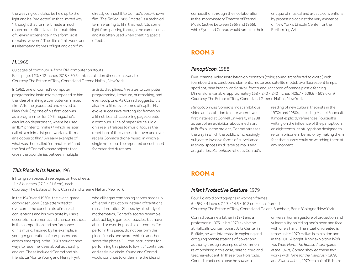the weaving could also be held up to the light and be "projected" in that limited way. "I thought that for me it made a much, much more effective and intimate kind of viewing experience in this form, so it remains [woven]." The title of this work, and its alternating frames of light and dark film,

directly connect it to Conrad's best-known film, *The Flicker*, 1966. "Matte" is a technical term referring to film that restricts some light from passing through the camera lens, and it is often used when creating special effects.

#### *H*, 1965

60 pages of continuous-form IBM computer printouts Each page:  $14\frac{7}{8}$  × 12 inches (37.8 × 30.5 cm); installation dimensions variable Courtesy The Estate of Tony Conrad and Greene Naftali, New York

In 1962, one of Conrad's computer programming instructors proposed to him the idea of making a computer-animated film. After he graduated and moved to New York City, one of his first jobs was as a programmer for *LIFE* magazine's circulation department, where he used an IBM printer to make *H*, which he later called "a minimalist print work in a format analogous to film." An early example of what was then called "computer art" and the first of Conrad's many objects that cross the boundaries between multiple

artistic disciplines, *H* relates to computer programming, literature, printmaking, and even sculpture. As Conrad suggests, it is also like a film: its columns of capital Hs evoke successive rectangular frames on a filmstrip, and its scrolling pages create a continuous line of paper like celluloid on a reel. *H* relates to music, too, as the repetition of the same letter over and over recalls Conrad's drone music, in which a single note could be repeated or sustained for extended durations.

# *This Piece Is Its Name*, 1961

Ink on graph paper, three pages on two sheets 11 × 8½ inches (27.9 × 21.6 cm), each Courtesy The Estate of Tony Conrad and Greene Naftali, New York

In the 1940s and 1950s, the avant-garde composer John Cage attempted to overcome the constraints of musical conventions and his own taste by using eccentric instruments and chance methods in the composition and performance of his music. Inspired by his example, a younger generation of composers and artists emerging in the 1960s sought new ways to redefine ideas about authorship and art. These included Conrad and his friends La Monte Young and Henry Flynt,

who all began composing scores made up of verbal instructions instead of traditional musical notation. Shaped by his study of mathematics, Conrad's scores resemble abstract logic games or puzzles, but have absurd or even impossible outcomes: "to perform this piece, do not perform this piece," reads one score, while in another score the phrase " . . . the instructions for performing this piece follow . . . " continues endlessly in a circle. Young and Conrad would continue to undermine the idea of

composition through their collaboration in the improvisatory Theatre of Eternal Music (active between 1965 and 1966), while Flynt and Conrad would ramp up their critique of musical and artistic conventions by protesting against the very existence of New York's Lincoln Center for the Performing Arts.

# **ROOM 3**

### *Panopticon*, 1988

Five-channel video installation on monitors (color, sound, transferred to digital) with foamboard and cardboard elements, motorized satellite model, two fluorescent lamps, spotlight, pine branch, and a sixty-foot triangular apron of orange plastic fencing Dimensions variable, approximately 168 × 240 × 240 inches (426.7 × 609.6 × 609.6 cm) Courtesy The Estate of Tony Conrad and Greene Naftali, New York

*Panopticon* was Conrad's most ambitious video art installation to date when it was first installed at Cornell University in 1988 as part of an exhibition about media art in Buffalo. In the project, Conrad stresses the way in which the public is increasingly subject to invasive forms of surveillance in social spaces as diverse as malls and art galleries. *Panopticon* reflects Conrad's reading of new cultural theorists in the 1970s and 1980s, including Michel Foucault. It most explicitly references Foucault's writing on the influence of the panopticon, an eighteenth-century prison designed to reform prisoners' behavior by making them fear that guards could be watching them at any moment.

# **ROOM 4**

#### *Infant Protective Gesture*, 1979

Four Polaroid photographs in wooden frames 5 × 5¾ × 4 inches (12.7 × 14.5 × 10.2 cm) each, framed Courtesy The Estate of Tony Conrad and Galerie Buchholz, Berlin/Cologne/New York

Conrad became a father in 1971 and a professor in 1973. In his 1979 exhibition at Hallwalls Contemporary Arts Center in Buffalo, he was interested in exploring and critiquing manifestations of power and authority through examples of common relationships; in this case, parent-child and teacher-student. In these four Polaroids, Conrad practices a pose he saw as a

universal human gesture of protection and vulnerability: shielding one's head and face with one's hand. The situation created is tense. In his 1979 Hallwalls exhibition and in the 2012 Albright-Knox exhibition *Wish You Were Here: The Buffalo Avant-garde in the 1970s*, Conrad showed these two works with *Time for the Hairbrush*, 1979, and *Examinations*, 1979—a pair of full-size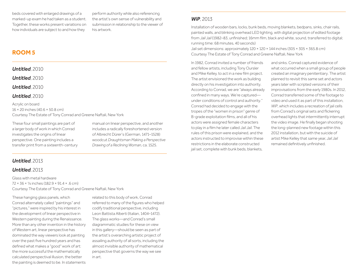beds covered with enlarged drawings of a marked-up exam he had taken as a student. Together, these works present variations on how individuals are subject to and how they

perform authority while also referencing the artist's own sense of vulnerability and submission in relationship to the viewer of his artwork.

# **ROOM 5**

*Untitled*, 2010

*Untitled*, 2010

*Untitled*, 2010

#### *Untitled*, 2010

Acrylic on board 16 × 20 inches (40.6 × 50.8 cm) Courtesy The Estate of Tony Conrad and Greene Naftali, New York

These four small paintings are part of a larger body of work in which Conrad investigates the origins of linear perspective. One painting includes a transfer print from a sixteenth-century manual on linear perspective, and another includes a radically foreshortened version of Albrecht Dürer's (German, 1471–1528) woodcut *Draughtsman Making a Perspective Drawing of a Reclining Woman*, ca. 1525.

# *Untitled*, 2013

#### *Untitled*, 2013

Glass with metal hardware 72 × 36 × ¼ inches (182.9 × 91.4 × .6 cm) Courtesy The Estate of Tony Conrad and Greene Naftali, New York

These hanging glass panels, which Conrad alternately called "paintings" and "pictures," were inspired by his interest in the development of linear perspective in Western painting during the Renaissance. More than any other invention in the history of Western art, linear perspective has dominated the way viewers look at painting over the past five hundred years and has defined what makes a "good" work of art: the more successful the mathematically calculated perspectival illusion, the better the painting is deemed to be. In statements

related to this body of work, Conrad referred to many of the figures who helped codify traditional perspective, including Leon Battista Alberti (Italian, 1404–1472). The glass works—and Conrad's small diagrammatic studies for these on view in this gallery—should be seen as part of the artist's overarching artistic project of assailing authority of all sorts, including the almost invisible authority of mathematical perspective that governs the way we see in art.

#### *WiP*, 2013

Installation of wooden bars, locks, bunk beds, moving blankets, bedpans, sinks, chair rails, painted walls, and blinking overhead LED lighting, with digital projection of edited footage from *Jail Jail* (1982–83, unfinished; 16mm film, black and white, sound, transferred to digital; running time: 68 minutes, 40 seconds)

Jail set dimensions: approximately 120 × 120 × 144 inches (305 × 305 × 365.8 cm) Courtesy The Estate of Tony Conrad and Greene Naftali, New York

In 1982, Conrad invited a number of friends and fellow artists, including Tony Oursler and Mike Kelley, to act in a new film project. The artist envisioned the work as building directly on his investigation into authority. According to Conrad, we are "always already confined in many ways. We're captured under conditions of control and authority." Conrad had decided to engage with the tropes of the "women in prison" genre of B-grade exploitation films, and all of his actors were assigned female characters to play in a film he later called *Jail Jail*. The rules of this prison were explained, and the actors instructed to improvise within these restrictions in the elaborate constructed jail set, complete with bunk beds, blankets,

and sinks. Conrad captured evidence of what occurred when a small group of people created an imaginary penitentiary. The artist planned to revisit this same set and actors years later with scripted versions of their improvisations from the early 1980s. In 2012, Conrad transferred some of the footage to video and used it as part of this installation, *WiP*, which includes a recreation of jail cells from Conrad's original sets and flickering overhead lights that intermittently interrupt the video image. He finally began shooting the long-planned new footage within this 2012 installation, but with the suicide of artist Mike Kelley that same year, *Jail Jail*  remained definitively unfinished.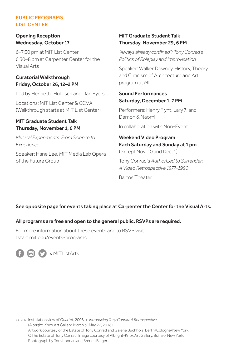#### PUBLIC PROGRAMS LIST CENTER

#### Opening Reception Wednesday, October 17

6–7:30 pm at MIT List Center 6:30–8 pm at Carpenter Center for the Visual Arts

#### Curatorial Walkthrough Friday, October 26, 12–2 PM

Led by Henriette Huldisch and Dan Byers

Locations: MIT List Center & CCVA (Walkthrough starts at MIT List Center)

#### MIT Graduate Student Talk Thursday, November 1, 6 PM

*Musical Experiments: From Science to Experience*

Speaker: Hane Lee, MIT Media Lab Opera of the Future Group

#### MIT Graduate Student Talk Thursday, November 29, 6 PM

*"Always already confined": Tony Conrad's Politics of Roleplay and Improvisation*

Speaker: Walker Downey, History, Theory and Criticism of Architecture and Art program at MIT

#### Sound Performances Saturday, December 1, 7 PM

Performers: Henry Flynt, Lary 7, and Damon & Naomi

In collaboration with Non-Event

#### Weekend Video Program Each Saturday and Sunday at 1 pm (except Nov. 10 and Dec. 1)

Tony Conrad's *Authorized to Surrender: A Video Retrospective 1977–1990*

Bartos Theater

#### See opposite page for events taking place at Carpenter the Center for the Visual Arts.

#### All programs are free and open to the general public. RSVPs are required.

For more information about these events and to RSVP visit: [listart.mit.edu/events-programs.](listart.mit.edu/events-programs)



COVER Installation view of *Quartet*, 2008, in *Introducing Tony Conrad: A Retrospective* (Albright-Knox Art Gallery, March 3–May 27, 2018). Artwork courtesy of the Estate of Tony Conrad and Galerie Buchholz, Berlin/Cologne/New York. ©The Estate of Tony Conrad. Image courtesy of Albright-Knox Art Gallery, Buffalo, New York. Photograph by Tom Loonan and Brenda Bieger.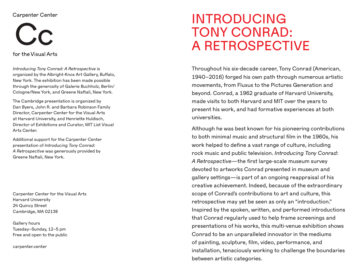# **Carpenter Center**



for the Visual Arts

*Introducing Tony Conrad: A Retrospective* is organized by the Albright-Knox Art Gallery, Buffalo, New York. The exhibition has been made possible through the generosity of Galerie Buchholz, Berlin/ Cologne/New York, and Greene Naftali, New York.

The Cambridge presentation is organized by Dan Byers, John R. and Barbara Robinson Family Director, Carpenter Center for the Visual Arts at Harvard University, and Henriette Huldisch, Director of Exhibitions and Curator, MIT List Visual Arts Center.

Additional support for the Carpenter Center presentation of *Introducing Tony Conrad: A Retrospective* was generously provided by Greene Naftali, New York.

Carpenter Center for the Visual Arts Harvard University 24 Quincy Street Cambridge, MA 02138

Gallery hours Tuesday–Sunday, 12–5 pm Free and open to the public

carpenter.center

# INTRODUCING TONY CONRAD: A RETROSPECTIVE

Throughout his six-decade career, Tony Conrad (American, 1940–2016) forged his own path through numerous artistic movements, from Fluxus to the Pictures Generation and beyond. Conrad, a 1962 graduate of Harvard University, made visits to both Harvard and MIT over the years to present his work, and had formative experiences at both universities.

Although he was best known for his pioneering contributions to both minimal music and structural film in the 1960s, his work helped to define a vast range of culture, including rock music and public television. *Introducing Tony Conrad: A Retrospective*—the first large-scale museum survey devoted to artworks Conrad presented in museum and gallery settings—is part of an ongoing reappraisal of his creative achievement. Indeed, because of the extraordinary scope of Conrad's contributions to art and culture, this retrospective may yet be seen as only an "introduction." Inspired by the spoken, written, and performed introductions that Conrad regularly used to help frame screenings and presentations of his works, this multi-venue exhibition shows Conrad to be an unparalleled innovator in the mediums of painting, sculpture, film, video, performance, and installation, tenaciously working to challenge the boundaries between artistic categories.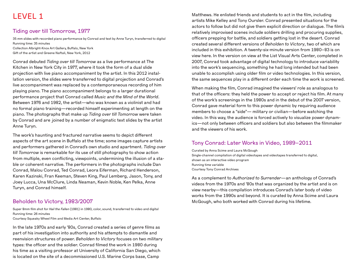# LEVEL 1

# Tiding over till Tomorrow, 1977

35 mm slides with recorded piano performance by Conrad and text by Anne Turyn, transferred to digital Running time: 35 minutes Collection Albright-Knox Art Gallery, Buffalo, New York

Gift of the artist and Greene Naftali, New York, 2012

Conrad debuted *Tiding over till Tomorrow* as a live performance at The Kitchen in New York City in 1977, where it took the form of a dual slide projection with live piano accompaniment by the artist. In this 2012 installation version, the slides were transferred to digital projection and Conrad's live accompaniment was replaced by a contemporaneous recording of him playing piano. The piano accompaniment belongs to a larger durational performance project that Conrad called *Music and the Mind of the World*. Between 1976 and 1982, the artist—who was known as a violinist and had no formal piano training—recorded himself experimenting at length on the piano. The photographs that make up *Tiding over till Tomorrow* were taken by Conrad and are joined by a number of enigmatic text slides by the artist Anne Turyn.

The work's haunting and fractured narrative seems to depict different aspects of the art scene in Buffalo at the time; some images capture artists and performers gathered in Conrad's own studio and apartment. *Tiding over till Tomorrow* is remarkable for its use of still photography to show action from multiple, even conflicting, viewpoints, undermining the illusion of a stable or coherent narrative. The performers in the photographs include Dan Conrad, Malou Conrad, Ted Conrad, Leora Eiferman, Richard Henderson, Karen Kazinski, Fran Keeman, Steven King, Paul Lemberg, Jason, Tony, and Joey Lucca, Una McClure, Linda Neaman, Kevin Noble, Ken Pelka, Anne Turyn, and Conrad himself.

# Beholden to Victory, 1983/2007

Super 8mm film shot for *Hail the Fallen* (1981) in 1980, color, sound, transferred to video and digital Running time: 26 minutes

Courtesy Squeaky Wheel Film and Media Art Center, Buffalo

In the late 1970s and early '80s, Conrad created a series of genre films as part of his investigation into authority and his attempts to dismantle and reenvision structures of power. *Beholden to Victory* focuses on two military types: the officer and the soldier. Conrad filmed the work in 1980 during his time as a visiting professor at University of California San Diego, which is located on the site of a decommissioned U.S. Marine Corps base, Camp

Matthews. He enlisted friends and students to act in the film, including artists Mike Kelley and Tony Oursler. Conrad presented situations for the actors to follow but did not give them explicit direction or dialogue. The film's relatively improvised scenes include soldiers drilling and procuring supplies, officers prepping for battle, and soldiers getting lost in the desert. Conrad created several different versions of *Beholden to Victory*, two of which are included in this exhibition. A twenty-six-minute version from 1980–83 is on view here. In the version on view at the List Visual Arts Center, completed in 2007, Conrad took advantage of digital technology to introduce variability into the work's sequencing, something he had long intended but had been unable to accomplish using older film or video technologies. In this version, the same sequences play in a different order each time the work is screened.

When making the film, Conrad imagined the viewers' role as analogous to that of the officers: they held the power to accept or reject his film. At many of the work's screenings in the 1980s and in the debut of the 2007 version, Conrad gave material form to this power dynamic by requiring audience members to choose a "side"— military or civilian—before watching the video. In this way, the audience is forced actively to visualize power dynamics—not only between officers and soldiers but also between the filmmaker and the viewers of his work.

### Tony Conrad: Later Works in Video, 1989–2011

Curated by Anna Scime and Laura McGough Single-channel compilation of digital videotapes and videotapes transferred to digital, shown as an interactive video program Running time variable Courtesy Tony Conrad Archives

As a complement to *Authorized to Surrender*—an anthology of Conrad's videos from the 1970s and '80s that was organized by the artist and is on view nearby—this compilation introduces Conrad's later body of video works from the 1990s and beyond. It is curated by Anna Scime and Laura McGough, who both worked with Conrad during his lifetime.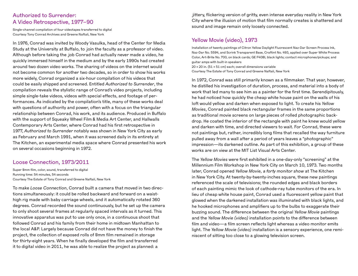# Authorized to Surrender: A Video Retrospective, 1977–90

Single-channel compilation of four videotapes transferred to digital Courtesy Tony Conrad Archives and Greene Naftali, New York

In 1976, Conrad was invited by Woody Vasulka, head of the Center for Media Study at the University at Buffalo, to join the faculty as a professor of video. Although before taking the job Conrad had actually never made a video, he quickly immersed himself in the medium and by the early 1990s had created around two dozen video works. The sharing of videos on the internet would not become common for another two decades, so in order to show his works more widely, Conrad organized a six-hour compilation of his videos that could be easily shipped and screened. Entitled *Authorized to Surrender*, the compilation reveals the stylistic range of Conrad's video projects, including simple single-take videos, videos with special effects, and footage of performances. As indicated by the compilation's title, many of these works deal with questions of authority and power, often with a focus on the triangular relationship between Conrad, his work, and its audience. Produced in Buffalo with the support of Squeaky Wheel Film & Media Art Center, and Hallwalls Contemporary Arts Center, where Conrad had his first retrospective in 1977, *Authorized to Surrender* notably was shown in New York City as early as February and March 1991, when it was screened daily in its entirety at The Kitchen, an experimental media space where Conrad presented his work on several occasions beginning in 1972.

### Loose Connection, 1973/2011

Super 8mm film, color, sound, transferred to digital Running time: 54 minutes, 54 seconds Courtesy The Estate of Tony Conrad and Greene Naftali, New York

To make *Loose Connection*, Conrad built a camera that moved in two directions simultaneously: it could be rolled backward and forward on a waisthigh rig made with baby carriage wheels, and it automatically rotated 360 degrees. Conrad recorded the sound continuously, but he set up the camera to only shoot several frames at regularly spaced intervals as it turned. This innovative apparatus was put to use only once, in a continuous shoot that followed Conrad and his family from their home in midtown Manhattan to the local A&P. Largely because Conrad did not have the money to finish the project, the collection of exposed rolls of 8mm film remained in storage for thirty-eight years. When he finally developed the film and transferred it to digital video in 2011, he was able to realize the project as planned: a

jittery, flickering version of gritty, even intense everyday reality in New York City where the illusion of motion that film normally creates is shattered and sound and image remain only loosely connected.

# Yellow Movie (video), 1973

Installation of twenty paintings of Citron Yellow Daylight Fluorescent Naz-Dar Screen Process Ink, Naz-Dar No. 5594, and Scrink Transparent Base, Craftint No. 493, applied over Super White Process Color, Art-Brite No. 700, on black cards; GE F40BL black lights; contact microphones/pickups; and guitar amps with built-in speakers 20 × 20 in. (51 × 51 cm) each; overall dimensions variable Courtesy The Estate of Tony Conrad and Greene Naftali, New York

In 1972, Conrad was still primarily known as a filmmaker. That year, however, he distilled his investigation of duration, process, and material into a body of work that led many to see him as a painter for the first time. Serendipitously, he had noticed how quickly the cheap white house paint on the walls of his loft would yellow and darken when exposed to light. To create his *Yellow Movies*, Conrad painted black rectangular frames in the same proportions as traditional movie screens on large pieces of rolled photographic backdrop. He coated the interior of the rectangle with paint he knew would yellow and darken with time, and directed viewers to wait. For Conrad, these were not paintings but, rather, incredibly long films that recalled the way furniture pulled away from a wall after a period of years leaves a "photographic" impression—its darkened outline. As part of this exhibition, a group of these works are on view at the MIT List Visual Arts Center.

The *Yellow Movies* were first exhibited in a one-day-only "screening" at the Millennium Film Workshop in New York City on March 10, 1973. Two months later, Conrad opened *Yellow Movie, a forty monitor show* at The Kitchen in New York City. At twenty-by-twenty-inches square, these new paintings referenced the scale of televisions; the rounded edges and black borders of each painting mimic the look of cathode-ray tube monitors of the era. In lieu of cheap white house paint, Conrad used a fluorescent yellow paint that glowed when the darkened installation was illuminated with black lights, and he hooked microphones and amplifiers up to the bulbs to exaggerate their buzzing sound. The difference between the original *Yellow Movie* paintings and the *Yellow Movie (video)* installation points to the difference between film and video—a film screen reflects light whereas a video monitor emits light. The *Yellow Movie (video)* installation is a sensory experience, one reminiscent of sitting too close to a glowing television screen.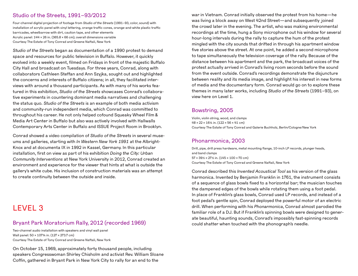# Studio of the Streets, 1991–93/2012

Four-channel digital projection of footage from *Studio of the Streets* (1991–93, color, sound) with installation of acrylic panel with vinyl lettering, orange traffic cones, orange-and-white plastic traffic barricades, wheelbarrow with dirt, caution tape, and other elements Acrylic panel: 144 × 26 in. (365.8 × 66 cm); overall dimensions variable Courtesy The Estate of Tony Conrad and Greene Naftali, New York

*Studio of the Streets* began as documentation of a 1990 protest to demand space and resources for public television in Buffalo. However, it quickly evolved into a weekly event, filmed on Fridays in front of the majestic Buffalo City Hall and broadcast on Tuesdays. For three years, Conrad, along with collaborators Cathleen Steffan and Ann Szyjka, sought out and highlighted the concerns and interests of Buffalo citizens; in all, they facilitated interviews with around a thousand participants. As with many of his works featured in this exhibition, *Studio of the Streets* showcases Conrad's collaborative experiments in countering dominant media narratives and challenging the status quo. *Studio of the Streets* is an example of both media activism and community-run independent media, which Conrad was committed to throughout his career. He not only helped cofound Squeaky Wheel Film & Media Art Center in Buffalo but also was actively involved with Hallwalls Contemporary Arts Center in Buffalo and ISSUE Project Room in Brooklyn.

Conrad showed a video compilation of *Studio of the Streets* in several museums and galleries, starting with *In Western New York 1991* at the Albright-Knox and at documenta IX in 1992 in Kassel, Germany. In this particular installation, first on view as part of his exhibition *Doing the City: Urban Community Interventions* at New York University in 2012, Conrad created an environment and experience for the viewer that hints at what is outside the gallery's white cube. His inclusion of construction materials was an attempt to create continuity between the outside and inside.

LEVEL 3

# Bryant Park Moratorium Rally, 2012 (recorded 1969)

Two-channel audio installation with speakers and vinyl wall panel Wall panel: 50 × 107¾ in. (127 × 273.7 cm) Courtesy The Estate of Tony Conrad and Greene Naftali, New York

On October 15, 1969, approximately forty thousand people, including speakers Congresswoman Shirley Chisholm and activist Rev. William Sloane Coffin, gathered in Bryant Park in New York City to rally for an end to the

war in Vietnam. Conrad initially observed the protest from his home—he was living a block away on West 42nd Street—and subsequently joined the crowd later in the evening. The artist, who was making environmental recordings at the time, hung a Sony microphone out his window for several hour-long intervals during the rally to capture the hum of the protest mingled with the city sounds that drifted in through his apartment window five stories above the street. At one point, he added a second microphone to tape simultaneously the television coverage of the rally. Because of the distance between his apartment and the park, the broadcast voices of the protest actually arrived in Conrad's living room seconds before the sound from the event outside. Conrad's recordings demonstrate the disjuncture between reality and its media image, and highlight his interest in new forms of media and the documentary form. Conrad would go on to explore these themes in many later works, including *Studio of the Streets* (1991–93), on view here on Level 1.

# Bowstring, 2005

Violin, violin string, wood, and clamps  $48 \times 22 \times 16$ % in. (122 × 56 × 41 cm) Courtesy The Estate of Tony Conrad and Galerie Buchholz, Berlin/Cologne/New York

# Phonarmonica, 2003

Drill, pipe, drill press hardware, metal mounting flange, 10-inch LP records, plunger heads, and band clamps 57 × 39½ × 27½ in. (145 × 100 × 70 cm) Courtesy The Estate of Tony Conrad and Greene Naftali, New York

Conrad described this *Invented Acoustical Tool* as his version of the glass harmonica. Invented by Benjamin Franklin in 1761, the instrument consists of a sequence of glass bowls fixed to a horizontal bar; the musician touches the dampened edges of the bowls while rotating them using a foot pedal. In place of Franklin's glass bowls, Conrad used LP records, and instead of a foot pedal's gentle spin, Conrad deployed the powerful motor of an electric drill. When performing with his *Phonarmonica*, Conrad almost parodied the familiar role of a DJ. But if Franklin's spinning bowls were designed to generate beautiful, haunting sounds, Conrad's impossibly fast-spinning records could shatter when touched with the phonograph's needle.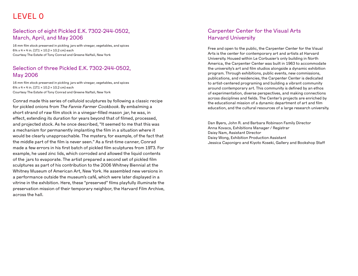# LEVEL 0

# Selection of eight Pickled E.K. 7302-244-0502, March, April, and May 2006

16 mm film stock preserved in pickling jars with vinegar, vegetables, and spices 6¾ x 4 × 4 in. (17.1 × 10.2 × 10.2 cm) each Courtesy The Estate of Tony Conrad and Greene Naftali, New York

# Selection of three Pickled E.K. 7302-244-0502, May 2006

16 mm film stock preserved in pickling jars with vinegar, vegetables, and spices 6¾ x 4 × 4 in. (17.1 × 10.2 × 10.2 cm) each Courtesy The Estate of Tony Conrad and Greene Naftali, New York

Conrad made this series of celluloid sculptures by following a classic recipe for pickled onions from *The Fannie Farmer Cookbook*. By embalming a short strand of raw film stock in a vinegar-filled mason jar, he was, in effect, extending its duration for years beyond that of filmed, processed, and projected stock. As he once described, "It seemed to me that this was a mechanism for permanently implanting the film in a situation where it would be clearly unapproachable. The mystery, for example, of the fact that the middle part of the film is never seen." As a first-time canner, Conrad made a few errors in his first batch of pickled film sculptures from 1973. For example, he used zinc lids, which corroded and allowed the liquid contents of the jars to evaporate. The artist prepared a second set of pickled film sculptures as part of his contribution to the 2006 Whitney Biennial at the Whitney Museum of American Art, New York. He assembled new versions in a performance outside the museum's café, which were later displayed in a vitrine in the exhibition. Here, these "preserved" films playfully illuminate the preservation mission of their temporary neighbor, the Harvard Film Archive, across the hall.

# Carpenter Center for the Visual Arts Harvard University

Free and open to the public, the Carpenter Center for the Visual Arts is the center for contemporary art and artists at Harvard University. Housed within Le Corbusier's only building in North America, the Carpenter Center was built in 1963 to accommodate the university's art and film studios alongside a dynamic exhibition program. Through exhibitions, public events, new commissions, publications, and residencies, the Carpenter Center is dedicated to artist-centered programing and building a vibrant community around contemporary art. This community is defined by an ethos of experimentation, diverse perspectives, and making connections across disciplines and fields. The Center's projects are enriched by the educational mission of a dynamic department of art and film education, and the cultural resources of a large research university.

Dan Byers, John R. and Barbara Robinson Family Director Anna Kovacs, Exhibitions Manager / Registrar Daisy Nam, Assistant Director Daisy Wong, Exhibition Production Assistant Jessica Caponigro and Kiyoto Koseki, Gallery and Bookshop Staff